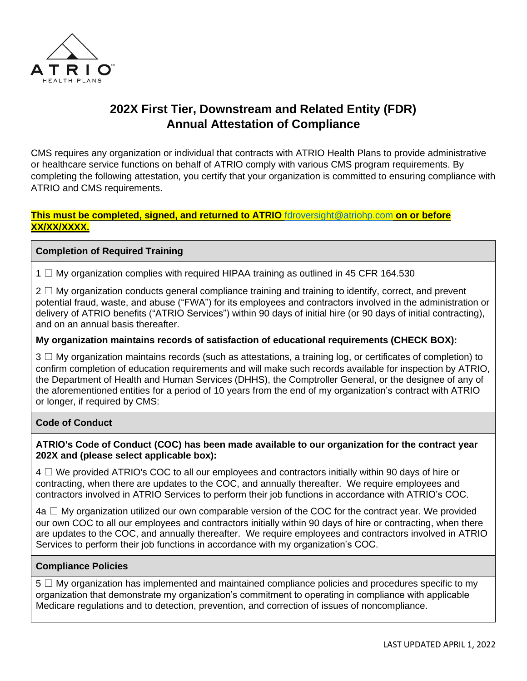

# **202X First Tier, Downstream and Related Entity (FDR) Annual Attestation of Compliance**

CMS requires any organization or individual that contracts with ATRIO Health Plans to provide administrative or healthcare service functions on behalf of ATRIO comply with various CMS program requirements. By completing the following attestation, you certify that your organization is committed to ensuring compliance with ATRIO and CMS requirements.

### **This must be completed, signed, and returned to ATRIO** [fdroversight@atriohp.com](mailto:fdroversight@atriohp.com) **on or before XX/XX/XXXX.**

## **Completion of Required Training**

1  $\Box$  My organization complies with required HIPAA training as outlined in 45 CFR 164.530

 $2 \Box$  My organization conducts general compliance training and training to identify, correct, and prevent potential fraud, waste, and abuse ("FWA") for its employees and contractors involved in the administration or delivery of ATRIO benefits ("ATRIO Services") within 90 days of initial hire (or 90 days of initial contracting), and on an annual basis thereafter.

#### **My organization maintains records of satisfaction of educational requirements (CHECK BOX):**

3 □ My organization maintains records (such as attestations, a training log, or certificates of completion) to confirm completion of education requirements and will make such records available for inspection by ATRIO, the Department of Health and Human Services (DHHS), the Comptroller General, or the designee of any of the aforementioned entities for a period of 10 years from the end of my organization's contract with ATRIO or longer, if required by CMS:

#### **Code of Conduct**

#### **ATRIO's Code of Conduct (COC) has been made available to our organization for the contract year 202X and (please select applicable box):**

 $4 \square$  We provided ATRIO's COC to all our employees and contractors initially within 90 days of hire or contracting, when there are updates to the COC, and annually thereafter. We require employees and contractors involved in ATRIO Services to perform their job functions in accordance with ATRIO's COC.

 $4a \Box$  My organization utilized our own comparable version of the COC for the contract year. We provided our own COC to all our employees and contractors initially within 90 days of hire or contracting, when there are updates to the COC, and annually thereafter. We require employees and contractors involved in ATRIO Services to perform their job functions in accordance with my organization's COC.

#### **Compliance Policies**

5 □ My organization has implemented and maintained compliance policies and procedures specific to my organization that demonstrate my organization's commitment to operating in compliance with applicable Medicare regulations and to detection, prevention, and correction of issues of noncompliance.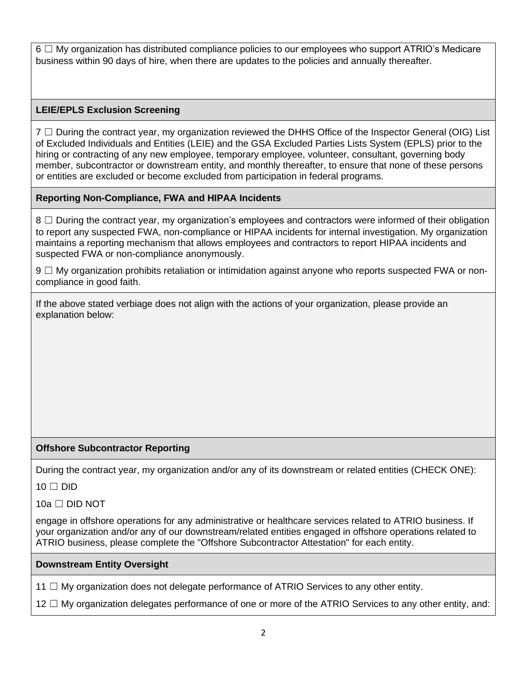$6 \Box$  My organization has distributed compliance policies to our employees who support ATRIO's Medicare business within 90 days of hire, when there are updates to the policies and annually thereafter.

# **LEIE/EPLS Exclusion Screening**

7 □ During the contract year, my organization reviewed the DHHS Office of the Inspector General (OIG) List of Excluded Individuals and Entities (LEIE) and the GSA Excluded Parties Lists System (EPLS) prior to the hiring or contracting of any new employee, temporary employee, volunteer, consultant, governing body member, subcontractor or downstream entity, and monthly thereafter, to ensure that none of these persons or entities are excluded or become excluded from participation in federal programs.

## **Reporting Non-Compliance, FWA and HIPAA Incidents**

8 □ During the contract year, my organization's employees and contractors were informed of their obligation to report any suspected FWA, non-compliance or HIPAA incidents for internal investigation. My organization maintains a reporting mechanism that allows employees and contractors to report HIPAA incidents and suspected FWA or non-compliance anonymously.

9 □ My organization prohibits retaliation or intimidation against anyone who reports suspected FWA or noncompliance in good faith.

If the above stated verbiage does not align with the actions of your organization, please provide an explanation below:

## **Offshore Subcontractor Reporting**

During the contract year, my organization and/or any of its downstream or related entities (CHECK ONE):

 $10 \Box$  DID

 $10a \Box$  DID NOT

engage in offshore operations for any administrative or healthcare services related to ATRIO business. If your organization and/or any of our downstream/related entities engaged in offshore operations related to ATRIO business, please complete the "Offshore Subcontractor Attestation" for each entity.

## **Downstream Entity Oversight**

11  $\Box$  My organization does not delegate performance of ATRIO Services to any other entity.

12 □ My organization delegates performance of one or more of the ATRIO Services to any other entity, and: